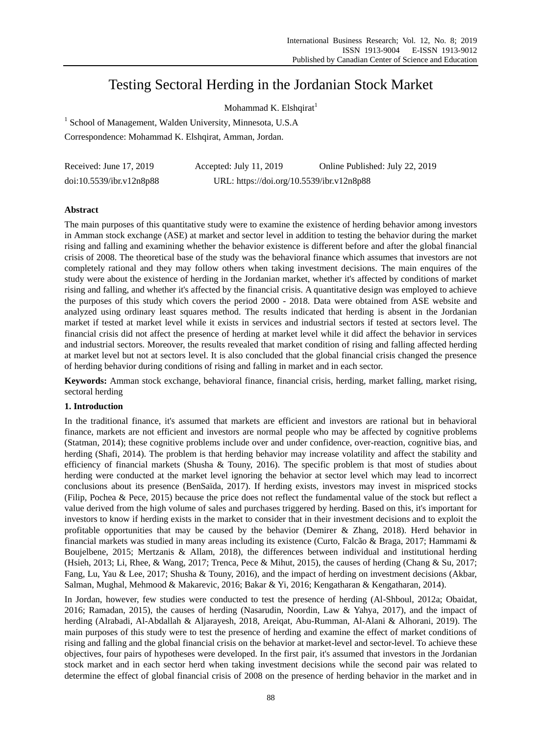# Testing Sectoral Herding in the Jordanian Stock Market

Mohammad K. Elshqirat $<sup>1</sup>$ </sup>

<sup>1</sup> School of Management, Walden University, Minnesota, U.S.A

Correspondence: Mohammad K. Elshqirat, Amman, Jordan.

| Received: June 17, 2019  | Accepted: July 11, 2019                   | Online Published: July 22, 2019 |
|--------------------------|-------------------------------------------|---------------------------------|
| doi:10.5539/ibr.v12n8p88 | URL: https://doi.org/10.5539/ibr.v12n8p88 |                                 |

## **Abstract**

The main purposes of this quantitative study were to examine the existence of herding behavior among investors in Amman stock exchange (ASE) at market and sector level in addition to testing the behavior during the market rising and falling and examining whether the behavior existence is different before and after the global financial crisis of 2008. The theoretical base of the study was the behavioral finance which assumes that investors are not completely rational and they may follow others when taking investment decisions. The main enquires of the study were about the existence of herding in the Jordanian market, whether it's affected by conditions of market rising and falling, and whether it's affected by the financial crisis. A quantitative design was employed to achieve the purposes of this study which covers the period 2000 - 2018. Data were obtained from ASE website and analyzed using ordinary least squares method. The results indicated that herding is absent in the Jordanian market if tested at market level while it exists in services and industrial sectors if tested at sectors level. The financial crisis did not affect the presence of herding at market level while it did affect the behavior in services and industrial sectors. Moreover, the results revealed that market condition of rising and falling affected herding at market level but not at sectors level. It is also concluded that the global financial crisis changed the presence of herding behavior during conditions of rising and falling in market and in each sector.

**Keywords:** Amman stock exchange, behavioral finance, financial crisis, herding, market falling, market rising, sectoral herding

## **1. Introduction**

In the traditional finance, it's assumed that markets are efficient and investors are rational but in behavioral finance, markets are not efficient and investors are normal people who may be affected by cognitive problems (Statman, 2014); these cognitive problems include over and under confidence, over-reaction, cognitive bias, and herding (Shafi, 2014). The problem is that herding behavior may increase volatility and affect the stability and efficiency of financial markets (Shusha & Touny, 2016). The specific problem is that most of studies about herding were conducted at the market level ignoring the behavior at sector level which may lead to incorrect conclusions about its presence (BenSaïda, 2017). If herding exists, investors may invest in mispriced stocks (Filip, Pochea & Pece, 2015) because the price does not reflect the fundamental value of the stock but reflect a value derived from the high volume of sales and purchases triggered by herding. Based on this, it's important for investors to know if herding exists in the market to consider that in their investment decisions and to exploit the profitable opportunities that may be caused by the behavior (Demirer & Zhang, 2018). Herd behavior in financial markets was studied in many areas including its existence (Curto, Falcão & Braga, 2017; Hammami & Boujelbene, 2015; Mertzanis & Allam, 2018), the differences between individual and institutional herding (Hsieh, 2013; Li, Rhee, & Wang, 2017; Trenca, Pece & Mihut, 2015), the causes of herding (Chang & Su, 2017; Fang, Lu, Yau & Lee, 2017; Shusha & Touny, 2016), and the impact of herding on investment decisions (Akbar, Salman, Mughal, Mehmood & Makarevic, 2016; Bakar & Yi, 2016; Kengatharan & Kengatharan, 2014).

In Jordan, however, few studies were conducted to test the presence of herding (Al-Shboul, 2012a; Obaidat, 2016; Ramadan, 2015), the causes of herding (Nasarudin, Noordin, Law & Yahya, 2017), and the impact of herding (Alrabadi, Al-Abdallah & Aljarayesh, 2018, Areiqat, Abu-Rumman, Al-Alani & Alhorani, 2019). The main purposes of this study were to test the presence of herding and examine the effect of market conditions of rising and falling and the global financial crisis on the behavior at market-level and sector-level. To achieve these objectives, four pairs of hypotheses were developed. In the first pair, it's assumed that investors in the Jordanian stock market and in each sector herd when taking investment decisions while the second pair was related to determine the effect of global financial crisis of 2008 on the presence of herding behavior in the market and in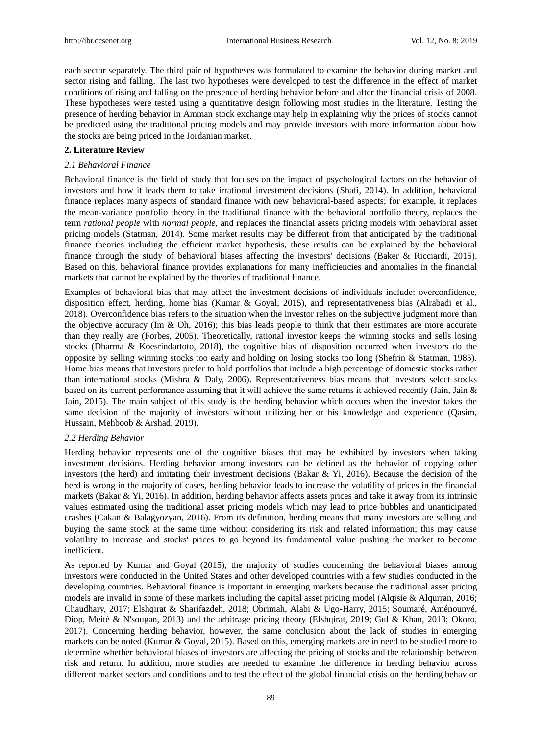each sector separately. The third pair of hypotheses was formulated to examine the behavior during market and sector rising and falling. The last two hypotheses were developed to test the difference in the effect of market conditions of rising and falling on the presence of herding behavior before and after the financial crisis of 2008. These hypotheses were tested using a quantitative design following most studies in the literature. Testing the presence of herding behavior in Amman stock exchange may help in explaining why the prices of stocks cannot be predicted using the traditional pricing models and may provide investors with more information about how the stocks are being priced in the Jordanian market.

## **2. Literature Review**

## *2.1 Behavioral Finance*

Behavioral finance is the field of study that focuses on the impact of psychological factors on the behavior of investors and how it leads them to take irrational investment decisions (Shafi, 2014). In addition, behavioral finance replaces many aspects of standard finance with new behavioral-based aspects; for example, it replaces the mean-variance portfolio theory in the traditional finance with the behavioral portfolio theory, replaces the term *rational people* with *normal people*, and replaces the financial assets pricing models with behavioral asset pricing models (Statman, 2014). Some market results may be different from that anticipated by the traditional finance theories including the efficient market hypothesis, these results can be explained by the behavioral finance through the study of behavioral biases affecting the investors' decisions (Baker & Ricciardi, 2015). Based on this, behavioral finance provides explanations for many inefficiencies and anomalies in the financial markets that cannot be explained by the theories of traditional finance.

Examples of behavioral bias that may affect the investment decisions of individuals include: overconfidence, disposition effect, herding, home bias (Kumar & Goyal, 2015), and representativeness bias (Alrabadi et al., 2018). Overconfidence bias refers to the situation when the investor relies on the subjective judgment more than the objective accuracy (Im & Oh, 2016); this bias leads people to think that their estimates are more accurate than they really are (Forbes, 2005). Theoretically, rational investor keeps the winning stocks and sells losing stocks (Dharma & Koesrindartoto, 2018), the cognitive bias of disposition occurred when investors do the opposite by selling winning stocks too early and holding on losing stocks too long (Shefrin & Statman, 1985). Home bias means that investors prefer to hold portfolios that include a high percentage of domestic stocks rather than international stocks (Mishra & Daly, 2006). Representativeness bias means that investors select stocks based on its current performance assuming that it will achieve the same returns it achieved recently (Jain, Jain & Jain, 2015). The main subject of this study is the herding behavior which occurs when the investor takes the same decision of the majority of investors without utilizing her or his knowledge and experience (Qasim, Hussain, Mehboob & Arshad, 2019).

#### *2.2 Herding Behavior*

Herding behavior represents one of the cognitive biases that may be exhibited by investors when taking investment decisions. Herding behavior among investors can be defined as the behavior of copying other investors (the herd) and imitating their investment decisions (Bakar & Yi, 2016). Because the decision of the herd is wrong in the majority of cases, herding behavior leads to increase the volatility of prices in the financial markets (Bakar & Yi, 2016). In addition, herding behavior affects assets prices and take it away from its intrinsic values estimated using the traditional asset pricing models which may lead to price bubbles and unanticipated crashes (Cakan & Balagyozyan, 2016). From its definition, herding means that many investors are selling and buying the same stock at the same time without considering its risk and related information; this may cause volatility to increase and stocks' prices to go beyond its fundamental value pushing the market to become inefficient.

As reported by Kumar and Goyal (2015), the majority of studies concerning the behavioral biases among investors were conducted in the United States and other developed countries with a few studies conducted in the developing countries. Behavioral finance is important in emerging markets because the traditional asset pricing models are invalid in some of these markets including the capital asset pricing model (Alqisie & Alqurran, 2016; Chaudhary, 2017; Elshqirat & Sharifazdeh, 2018; Obrimah, Alabi & Ugo-Harry, 2015; Soumaré, Aménounvé, Diop, Mété & N'sougan, 2013) and the arbitrage pricing theory (Elshqirat, 2019; Gul & Khan, 2013; Okoro, 2017). Concerning herding behavior, however, the same conclusion about the lack of studies in emerging markets can be noted (Kumar & Goyal, 2015). Based on this, emerging markets are in need to be studied more to determine whether behavioral biases of investors are affecting the pricing of stocks and the relationship between risk and return. In addition, more studies are needed to examine the difference in herding behavior across different market sectors and conditions and to test the effect of the global financial crisis on the herding behavior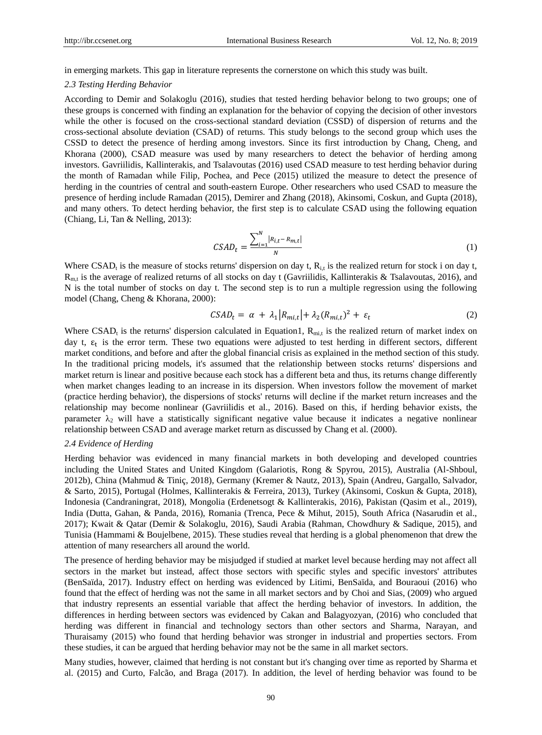in emerging markets. This gap in literature represents the cornerstone on which this study was built.

#### *2.3 Testing Herding Behavior*

According to Demir and Solakoglu (2016), studies that tested herding behavior belong to two groups; one of these groups is concerned with finding an explanation for the behavior of copying the decision of other investors while the other is focused on the cross-sectional standard deviation (CSSD) of dispersion of returns and the cross-sectional absolute deviation (CSAD) of returns. This study belongs to the second group which uses the CSSD to detect the presence of herding among investors. Since its first introduction by Chang, Cheng, and Khorana (2000), CSAD measure was used by many researchers to detect the behavior of herding among investors. Gavriilidis, Kallinterakis, and Tsalavoutas (2016) used CSAD measure to test herding behavior during the month of Ramadan while Filip, Pochea, and Pece (2015) utilized the measure to detect the presence of herding in the countries of central and south-eastern Europe. Other researchers who used CSAD to measure the presence of herding include Ramadan (2015), Demirer and Zhang (2018), Akinsomi, Coskun, and Gupta (2018), and many others. To detect herding behavior, the first step is to calculate CSAD using the following equation (Chiang, Li, Tan & Nelling, 2013):

$$
CSAD_t = \frac{\sum_{i=1}^{N} |R_{i,t} - R_{m,t}|}{N}
$$
 (1)

Where  $CSAD_t$  is the measure of stocks returns' dispersion on day t,  $R_{i,t}$  is the realized return for stock i on day t,  $R<sub>m,t</sub>$  is the average of realized returns of all stocks on day t (Gavriilidis, Kallinterakis & Tsalavoutas, 2016), and N is the total number of stocks on day t. The second step is to run a multiple regression using the following model (Chang, Cheng & Khorana, 2000):

$$
CSAD_t = \alpha + \lambda_1 |R_{mi,t}| + \lambda_2 (R_{mi,t})^2 + \varepsilon_t \tag{2}
$$

Where  $CSAD_t$  is the returns' dispersion calculated in Equation1,  $R_{mit}$  is the realized return of market index on day t,  $\varepsilon_t$  is the error term. These two equations were adjusted to test herding in different sectors, different market conditions, and before and after the global financial crisis as explained in the method section of this study. In the traditional pricing models, it's assumed that the relationship between stocks returns' dispersions and market return is linear and positive because each stock has a different beta and thus, its returns change differently when market changes leading to an increase in its dispersion. When investors follow the movement of market (practice herding behavior), the dispersions of stocks' returns will decline if the market return increases and the relationship may become nonlinear (Gavriilidis et al., 2016). Based on this, if herding behavior exists, the parameter  $\lambda_2$  will have a statistically significant negative value because it indicates a negative nonlinear relationship between CSAD and average market return as discussed by Chang et al. (2000).

## *2.4 Evidence of Herding*

Herding behavior was evidenced in many financial markets in both developing and developed countries including the United States and United Kingdom (Galariotis, Rong & Spyrou, 2015), Australia (Al-Shboul, 2012b), China (Mahmud & Tiniç, 2018), Germany (Kremer & Nautz, 2013), Spain (Andreu, Gargallo, Salvador, & Sarto, 2015), Portugal (Holmes, Kallinterakis & Ferreira, 2013), Turkey (Akinsomi, Coskun & Gupta, 2018), Indonesia (Candraningrat, 2018), Mongolia (Erdenetsogt & Kallinterakis, 2016), Pakistan (Qasim et al., 2019), India (Dutta, Gahan, & Panda, 2016), Romania (Trenca, Pece & Mihut, 2015), South Africa (Nasarudin et al., 2017); Kwait & Qatar (Demir & Solakoglu, 2016), Saudi Arabia (Rahman, Chowdhury & Sadique, 2015), and Tunisia (Hammami & Boujelbene, 2015). These studies reveal that herding is a global phenomenon that drew the attention of many researchers all around the world.

The presence of herding behavior may be misjudged if studied at market level because herding may not affect all sectors in the market but instead, affect those sectors with specific styles and specific investors' attributes (BenSaïda, 2017). Industry effect on herding was evidenced by Litimi, BenSaïda, and Bouraoui (2016) who found that the effect of herding was not the same in all market sectors and by Choi and Sias, (2009) who argued that industry represents an essential variable that affect the herding behavior of investors. In addition, the differences in herding between sectors was evidenced by Cakan and Balagyozyan, (2016) who concluded that herding was different in financial and technology sectors than other sectors and Sharma, Narayan, and Thuraisamy (2015) who found that herding behavior was stronger in industrial and properties sectors. From these studies, it can be argued that herding behavior may not be the same in all market sectors.

Many studies, however, claimed that herding is not constant but it's changing over time as reported by Sharma et al. (2015) and Curto, Falcão, and Braga (2017). In addition, the level of herding behavior was found to be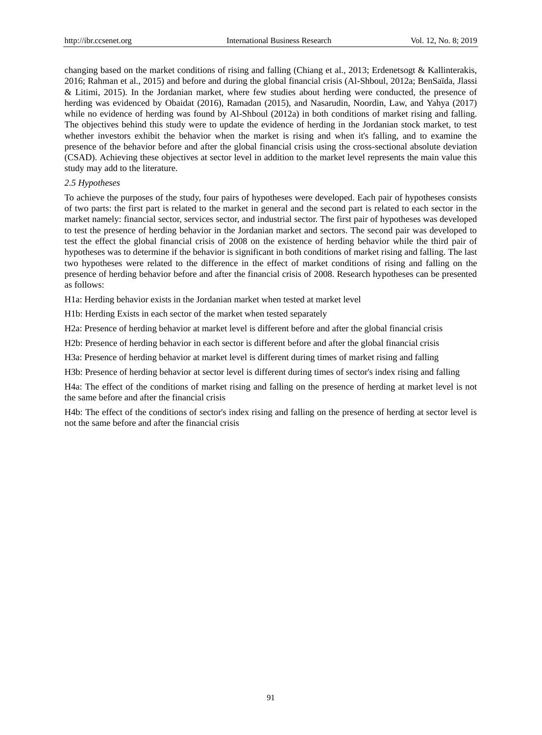changing based on the market conditions of rising and falling (Chiang et al., 2013; Erdenetsogt & Kallinterakis, 2016; Rahman et al., 2015) and before and during the global financial crisis (Al-Shboul, 2012a; BenSaïda, Jlassi & Litimi, 2015). In the Jordanian market, where few studies about herding were conducted, the presence of herding was evidenced by Obaidat (2016), Ramadan (2015), and Nasarudin, Noordin, Law, and Yahya (2017) while no evidence of herding was found by Al-Shboul (2012a) in both conditions of market rising and falling. The objectives behind this study were to update the evidence of herding in the Jordanian stock market, to test whether investors exhibit the behavior when the market is rising and when it's falling, and to examine the presence of the behavior before and after the global financial crisis using the cross-sectional absolute deviation (CSAD). Achieving these objectives at sector level in addition to the market level represents the main value this study may add to the literature.

## *2.5 Hypotheses*

To achieve the purposes of the study, four pairs of hypotheses were developed. Each pair of hypotheses consists of two parts: the first part is related to the market in general and the second part is related to each sector in the market namely: financial sector, services sector, and industrial sector. The first pair of hypotheses was developed to test the presence of herding behavior in the Jordanian market and sectors. The second pair was developed to test the effect the global financial crisis of 2008 on the existence of herding behavior while the third pair of hypotheses was to determine if the behavior is significant in both conditions of market rising and falling. The last two hypotheses were related to the difference in the effect of market conditions of rising and falling on the presence of herding behavior before and after the financial crisis of 2008. Research hypotheses can be presented as follows:

H1a: Herding behavior exists in the Jordanian market when tested at market level

H1b: Herding Exists in each sector of the market when tested separately

H2a: Presence of herding behavior at market level is different before and after the global financial crisis

H2b: Presence of herding behavior in each sector is different before and after the global financial crisis

H3a: Presence of herding behavior at market level is different during times of market rising and falling

H3b: Presence of herding behavior at sector level is different during times of sector's index rising and falling

H4a: The effect of the conditions of market rising and falling on the presence of herding at market level is not the same before and after the financial crisis

H4b: The effect of the conditions of sector's index rising and falling on the presence of herding at sector level is not the same before and after the financial crisis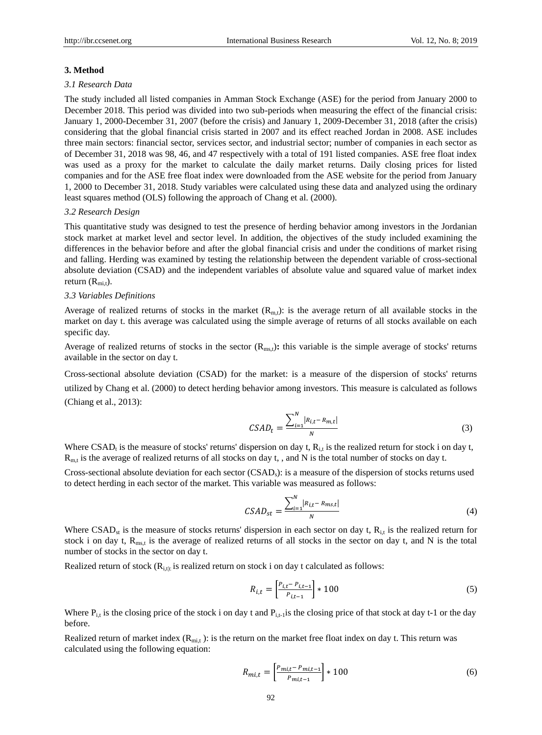## **3. Method**

## *3.1 Research Data*

The study included all listed companies in Amman Stock Exchange (ASE) for the period from January 2000 to December 2018. This period was divided into two sub-periods when measuring the effect of the financial crisis: January 1, 2000-December 31, 2007 (before the crisis) and January 1, 2009-December 31, 2018 (after the crisis) considering that the global financial crisis started in 2007 and its effect reached Jordan in 2008. ASE includes three main sectors: financial sector, services sector, and industrial sector; number of companies in each sector as of December 31, 2018 was 98, 46, and 47 respectively with a total of 191 listed companies. ASE free float index was used as a proxy for the market to calculate the daily market returns. Daily closing prices for listed companies and for the ASE free float index were downloaded from the ASE website for the period from January 1, 2000 to December 31, 2018. Study variables were calculated using these data and analyzed using the ordinary least squares method (OLS) following the approach of Chang et al. (2000).

## *3.2 Research Design*

This quantitative study was designed to test the presence of herding behavior among investors in the Jordanian stock market at market level and sector level. In addition, the objectives of the study included examining the differences in the behavior before and after the global financial crisis and under the conditions of market rising and falling. Herding was examined by testing the relationship between the dependent variable of cross-sectional absolute deviation (CSAD) and the independent variables of absolute value and squared value of market index return  $(R_{mi,t})$ .

#### *3.3 Variables Definitions*

Average of realized returns of stocks in the market  $(R<sub>m,t</sub>)$ : is the average return of all available stocks in the market on day t. this average was calculated using the simple average of returns of all stocks available on each specific day.

Average of realized returns of stocks in the sector  $(R_{ms,t})$ : this variable is the simple average of stocks' returns available in the sector on day t.

Cross-sectional absolute deviation (CSAD) for the market: is a measure of the dispersion of stocks' returns utilized by Chang et al. (2000) to detect herding behavior among investors. This measure is calculated as follows (Chiang et al., 2013):

$$
CSAD_t = \frac{\sum_{i=1}^{N} |R_{i,t} - R_{m,t}|}{N}
$$
(3)

Where  $CSAD_t$  is the measure of stocks' returns' dispersion on day t,  $R_{i,t}$  is the realized return for stock i on day t,  $R_{m,t}$  is the average of realized returns of all stocks on day t, , and N is the total number of stocks on day t.

Cross-sectional absolute deviation for each sector (CSAD<sub>s</sub>): is a measure of the dispersion of stocks returns used to detect herding in each sector of the market. This variable was measured as follows:

$$
CSAD_{st} = \frac{\sum_{i=1}^{N} |R_{i,t} - R_{ms,t}|}{N}
$$
\n<sup>(4)</sup>

Where  $CSAD_{st}$  is the measure of stocks returns' dispersion in each sector on day t,  $R_{it}$  is the realized return for stock i on day t,  $R_{\text{ms}}$  is the average of realized returns of all stocks in the sector on day t, and N is the total number of stocks in the sector on day t.

Realized return of stock  $(R_{i,t)}$  is realized return on stock i on day t calculated as follows:

$$
R_{i,t} = \left[\frac{P_{i,t} - P_{i,t-1}}{P_{i,t-1}}\right] * 100\tag{5}
$$

Where  $P_{i,t}$  is the closing price of the stock i on day t and  $P_{i,t-1}$  is the closing price of that stock at day t-1 or the day before.

Realized return of market index  $(R_{\text{mit}})$ : is the return on the market free float index on day t. This return was calculated using the following equation:

$$
R_{mi,t} = \left[\frac{P_{mi,t} - P_{mi,t-1}}{P_{mi,t-1}}\right] * 100\tag{6}
$$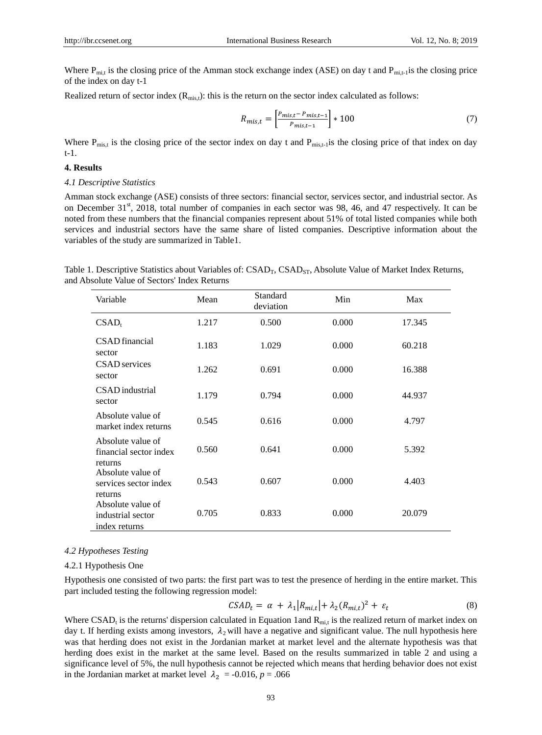Where  $P_{\text{mit}}$  is the closing price of the Amman stock exchange index (ASE) on day t and  $P_{\text{mit}}$  is the closing price of the index on day t-1

Realized return of sector index ( $R_{mis,t}$ ): this is the return on the sector index calculated as follows:

$$
R_{mis,t} = \left[\frac{P_{mis,t} - P_{mis,t-1}}{P_{mis,t-1}}\right] * 100\tag{7}
$$

Where  $P_{\text{mix},t}$  is the closing price of the sector index on day t and  $P_{\text{mix},t-1}$  is the closing price of that index on day t-1.

## **4. Results**

#### *4.1 Descriptive Statistics*

Amman stock exchange (ASE) consists of three sectors: financial sector, services sector, and industrial sector. As on December  $31<sup>st</sup>$ , 2018, total number of companies in each sector was 98, 46, and 47 respectively. It can be noted from these numbers that the financial companies represent about 51% of total listed companies while both services and industrial sectors have the same share of listed companies. Descriptive information about the variables of the study are summarized in Table1.

Table 1. Descriptive Statistics about Variables of: CSAD<sub>T</sub>, CSAD<sub>ST</sub>, Absolute Value of Market Index Returns, and Absolute Value of Sectors' Index Returns

| Variable                                                | Mean  | Standard<br>deviation | Min   | Max    |
|---------------------------------------------------------|-------|-----------------------|-------|--------|
| $CSAD_t$                                                | 1.217 | 0.500                 | 0.000 | 17.345 |
| CSAD financial<br>sector                                | 1.183 | 1.029                 | 0.000 | 60.218 |
| <b>CSAD</b> services<br>sector                          | 1.262 | 0.691                 | 0.000 | 16.388 |
| CSAD industrial<br>sector                               | 1.179 | 0.794                 | 0.000 | 44.937 |
| Absolute value of<br>market index returns               | 0.545 | 0.616                 | 0.000 | 4.797  |
| Absolute value of<br>financial sector index<br>returns  | 0.560 | 0.641                 | 0.000 | 5.392  |
| Absolute value of<br>services sector index<br>returns   | 0.543 | 0.607                 | 0.000 | 4.403  |
| Absolute value of<br>industrial sector<br>index returns | 0.705 | 0.833                 | 0.000 | 20.079 |

## *4.2 Hypotheses Testing*

## 4.2.1 Hypothesis One

Hypothesis one consisted of two parts: the first part was to test the presence of herding in the entire market. This part included testing the following regression model:

$$
CSAD_t = \alpha + \lambda_1 |R_{mi,t}| + \lambda_2 (R_{mi,t})^2 + \varepsilon_t \tag{8}
$$

Where CSAD<sub>t</sub> is the returns' dispersion calculated in Equation 1 and  $R_{mi,t}$  is the realized return of market index on day t. If herding exists among investors,  $\lambda_2$  will have a negative and significant value. The null hypothesis here was that herding does not exist in the Jordanian market at market level and the alternate hypothesis was that herding does exist in the market at the same level. Based on the results summarized in table 2 and using a significance level of 5%, the null hypothesis cannot be rejected which means that herding behavior does not exist in the Jordanian market at market level  $\lambda_2 = -0.016$ ,  $p = .066$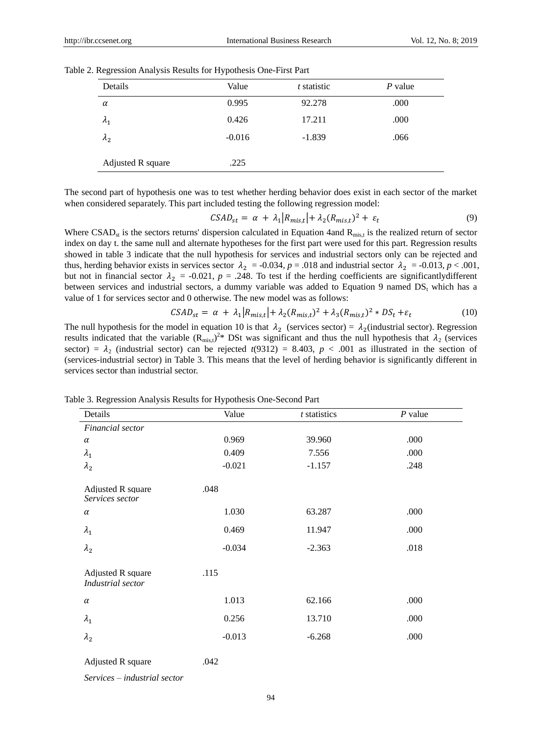| Details           | Value    | t statistic | $P$ value |
|-------------------|----------|-------------|-----------|
| $\alpha$          | 0.995    | 92.278      | .000      |
| $\lambda_1$       | 0.426    | 17.211      | .000      |
| $\lambda_{2}$     | $-0.016$ | $-1.839$    | .066      |
| Adjusted R square | .225     |             |           |

Table 2. Regression Analysis Results for Hypothesis One-First Part

The second part of hypothesis one was to test whether herding behavior does exist in each sector of the market when considered separately. This part included testing the following regression model:

$$
CSAD_{st} = \alpha + \lambda_1 \left| R_{mis,t} \right| + \lambda_2 (R_{mis,t})^2 + \varepsilon_t \tag{9}
$$

Where  $CSAD_{st}$  is the sectors returns' dispersion calculated in Equation 4and  $R_{mist}$  is the realized return of sector index on day t. the same null and alternate hypotheses for the first part were used for this part. Regression results showed in table 3 indicate that the null hypothesis for services and industrial sectors only can be rejected and thus, herding behavior exists in services sector  $\lambda_2 = -0.034$ ,  $p = .018$  and industrial sector  $\lambda_2 = -0.013$ ,  $p < .001$ , but not in financial sector  $\lambda_2 = -0.021$ ,  $p = .248$ . To test if the herding coefficients are significantly different between services and industrial sectors, a dummy variable was added to Equation 9 named  $DS_t$  which has a value of 1 for services sector and 0 otherwise. The new model was as follows:

$$
CSAD_{st} = \alpha + \lambda_1 |R_{mis,t}| + \lambda_2 (R_{mis,t})^2 + \lambda_3 (R_{mis,t})^2 * DS_t + \varepsilon_t
$$
\n(10)

The null hypothesis for the model in equation 10 is that  $\lambda_2$  (services sector) =  $\lambda_2$ (industrial sector). Regression results indicated that the variable  $(R_{mis,t})^{2*}$  DSt was significant and thus the null hypothesis that  $\lambda_2$  (services sector) =  $\lambda_2$  (industrial sector) can be rejected  $t(9312) = 8.403$ ,  $p < .001$  as illustrated in the section of (services-industrial sector) in Table 3. This means that the level of herding behavior is significantly different in services sector than industrial sector.

| Details                                | Value    | $t$ statistics | $P$ value |
|----------------------------------------|----------|----------------|-----------|
| Financial sector                       |          |                |           |
| $\alpha$                               | 0.969    | 39.960         | .000      |
| $\lambda_1$                            | 0.409    | 7.556          | .000      |
| $\lambda_2$                            | $-0.021$ | $-1.157$       | .248      |
| Adjusted R square<br>Services sector   | .048     |                |           |
| $\alpha$                               | 1.030    | 63.287         | .000      |
| $\lambda_1$                            | 0.469    | 11.947         | .000      |
| $\lambda_2$                            | $-0.034$ | $-2.363$       | .018      |
| Adjusted R square<br>Industrial sector | .115     |                |           |
| $\alpha$                               | 1.013    | 62.166         | .000      |
| $\lambda_1$                            | 0.256    | 13.710         | .000      |
| $\lambda_2$                            | $-0.013$ | $-6.268$       | .000      |
| Adjusted R square                      | .042     |                |           |

Table 3. Regression Analysis Results for Hypothesis One-Second Part

*Services – industrial sector*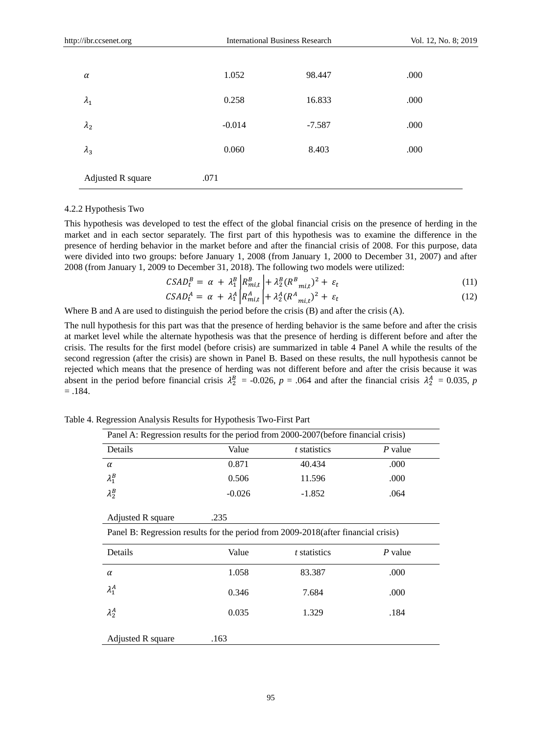| α                 | 1.052    | 98.447   | .000 |
|-------------------|----------|----------|------|
| $\lambda_1$       | 0.258    | 16.833   | .000 |
| $\lambda_2$       | $-0.014$ | $-7.587$ | .000 |
| $\lambda_3$       | 0.060    | 8.403    | .000 |
| Adjusted R square | .071     |          |      |

## 4.2.2 Hypothesis Two

This hypothesis was developed to test the effect of the global financial crisis on the presence of herding in the market and in each sector separately. The first part of this hypothesis was to examine the difference in the presence of herding behavior in the market before and after the financial crisis of 2008. For this purpose, data were divided into two groups: before January 1, 2008 (from January 1, 2000 to December 31, 2007) and after 2008 (from January 1, 2009 to December 31, 2018). The following two models were utilized:

$$
CSAD_t^B = \alpha + \lambda_1^B \left[ R_{mi,t}^B \right] + \lambda_2^B (R_{mi,t}^B)^2 + \varepsilon_t \tag{11}
$$

$$
CSAD_t^A = \alpha + \lambda_1^A \left| R_{mi,t}^A \right| + \lambda_2^A (R_{mi,t}^A)^2 + \varepsilon_t \tag{12}
$$

Where B and A are used to distinguish the period before the crisis (B) and after the crisis (A).

The null hypothesis for this part was that the presence of herding behavior is the same before and after the crisis at market level while the alternate hypothesis was that the presence of herding is different before and after the crisis. The results for the first model (before crisis) are summarized in table 4 Panel A while the results of the second regression (after the crisis) are shown in Panel B. Based on these results, the null hypothesis cannot be rejected which means that the presence of herding was not different before and after the crisis because it was absent in the period before financial crisis  $\lambda_2^B = -0.026$ ,  $p = .064$  and after the financial crisis  $\lambda_2^A = 0.035$ , p  $=.184.$ 

| Panel A: Regression results for the period from 2000-2007 (before financial crisis) |          |                     |           |  |
|-------------------------------------------------------------------------------------|----------|---------------------|-----------|--|
| Details                                                                             | Value    | <i>t</i> statistics | $P$ value |  |
| $\alpha$                                                                            | 0.871    | 40.434              | .000      |  |
| $\lambda_1^B$                                                                       | 0.506    | 11.596              | .000      |  |
| $\lambda_2^B$                                                                       | $-0.026$ | $-1.852$            | .064      |  |
| Adjusted R square                                                                   | .235     |                     |           |  |
| Panel B: Regression results for the period from 2009-2018 (after financial crisis)  |          |                     |           |  |
| Details                                                                             | Value    | <i>t</i> statistics | P value   |  |
| $\alpha$                                                                            | 1.058    | 83.387              | .000      |  |
| $\lambda_1^A$                                                                       | 0.346    | 7.684               | .000      |  |
| $\lambda_2^A$                                                                       | 0.035    | 1.329               | .184      |  |
| Adjusted R square                                                                   | .163     |                     |           |  |

Table 4. Regression Analysis Results for Hypothesis Two-First Part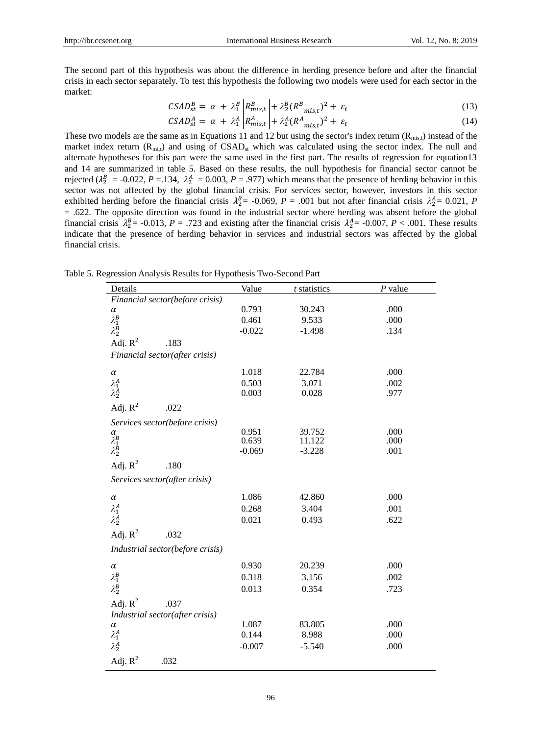The second part of this hypothesis was about the difference in herding presence before and after the financial crisis in each sector separately. To test this hypothesis the following two models were used for each sector in the market:

$$
CSAD_{st}^B = \alpha + \lambda_1^B \left| R_{mis,t}^B \right| + \lambda_2^B (R_{mis,t}^B)^2 + \varepsilon_t \tag{13}
$$

$$
CSAD_{st}^A = \alpha + \lambda_1^A \left| R_{mis,t}^A \right| + \lambda_2^A (R_{mis,t}^A)^2 + \varepsilon_t \tag{14}
$$

These two models are the same as in Equations 11 and 12 but using the sector's index return ( $R_{mis,t}$ ) instead of the market index return  $(R_{mit})$  and using of CSAD<sub>st</sub> which was calculated using the sector index. The null and alternate hypotheses for this part were the same used in the first part. The results of regression for equation13 and 14 are summarized in table 5. Based on these results, the null hypothesis for financial sector cannot be rejected ( $\lambda_2^B$  = -0.022, *P* = .134,  $\lambda_2^A$  = 0.003, *P* = .977) which means that the presence of herding behavior in this sector was not affected by the global financial crisis. For services sector, however, investors in this sector exhibited herding before the financial crisis  $\lambda_2^B$  = -0.069, *P* = .001 but not after financial crisis  $\lambda_2^A$  = 0.021, *P*  $=$  .622. The opposite direction was found in the industrial sector where herding was absent before the global financial crisis  $\lambda_2^B$  = -0.013, *P* = .723 and existing after the financial crisis  $\lambda_2^A$  = -0.007, *P* < .001. These results indicate that the presence of herding behavior in services and industrial sectors was affected by the global financial crisis.

Table 5. Regression Analysis Results for Hypothesis Two-Second Part

| Details                          | Value    | $t$ statistics | $P$ value |
|----------------------------------|----------|----------------|-----------|
| Financial sector(before crisis)  |          |                |           |
| $\alpha$                         | 0.793    | 30.243         | .000      |
| $\lambda_1^B \\ \lambda_2^B$     | 0.461    | 9.533          | .000      |
|                                  | $-0.022$ | $-1.498$       | .134      |
| Adj. $R^2$<br>.183               |          |                |           |
| Financial sector(after crisis)   |          |                |           |
| $\alpha$                         | 1.018    | 22.784         | .000      |
| $\lambda_1^A$                    | 0.503    | 3.071          | .002      |
| $\lambda_2^A$                    | 0.003    | 0.028          | .977      |
| Adj. $R^2$<br>.022               |          |                |           |
| Services sector(before crisis)   |          |                |           |
| $\alpha$                         | 0.951    | 39.752         | .000      |
| $\lambda_1^B$                    | 0.639    | 11.122         | .000      |
| $\lambda_2^B$                    | $-0.069$ | $-3.228$       | .001      |
| Adj. $R^2$<br>.180               |          |                |           |
| Services sector(after crisis)    |          |                |           |
| $\alpha$                         | 1.086    | 42.860         | .000      |
|                                  | 0.268    | 3.404          | .001      |
| $\lambda_1^A\\ \lambda_2^A$      | 0.021    | 0.493          | .622      |
| Adj. $R^2$<br>.032               |          |                |           |
| Industrial sector(before crisis) |          |                |           |
| $\alpha$                         | 0.930    | 20.239         | .000      |
| $\lambda_1^B$                    | 0.318    | 3.156          | .002      |
| $\lambda_2^B$                    | 0.013    | 0.354          | .723      |
| Adj. $R^2$<br>.037               |          |                |           |
| Industrial sector(after crisis)  |          |                |           |
| $\alpha$                         | 1.087    | 83.805         | .000      |
| $\lambda_1^A$                    | 0.144    | 8.988          | .000      |
| $\lambda_2^A$                    | $-0.007$ | $-5.540$       | .000      |
| Adj. $R^2$<br>.032               |          |                |           |

96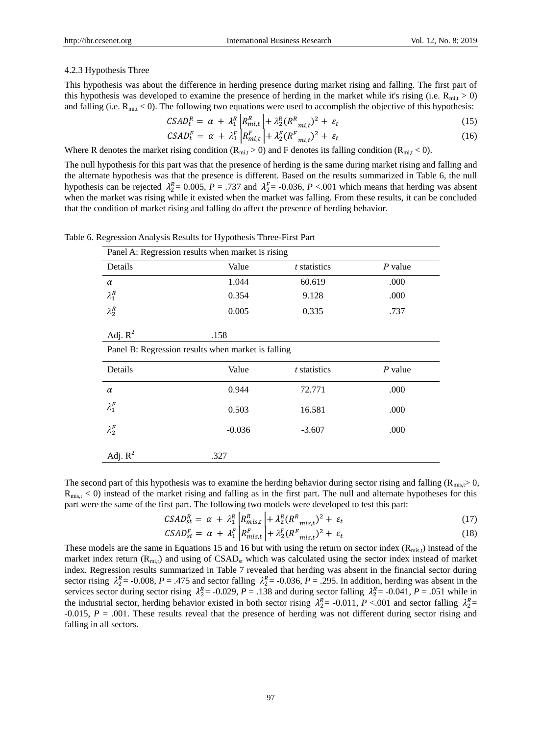## 4.2.3 Hypothesis Three

This hypothesis was about the difference in herding presence during market rising and falling. The first part of this hypothesis was developed to examine the presence of herding in the market while it's rising (i.e.  $R_{\text{mi},t} > 0$ ) and falling (i.e.  $R_{m,i}$  < 0). The following two equations were used to accomplish the objective of this hypothesis:

$$
CSAD_t^R = \alpha + \lambda_1^R \left| R_{mi,t}^R \right| + \lambda_2^R (R_{mi,t}^R)^2 + \varepsilon_t \tag{15}
$$

$$
CSAD_t^F = \alpha + \lambda_1^F \left| R_{mi,t}^F \right| + \lambda_2^F (R_{mi,t}^F)^2 + \varepsilon_t \tag{16}
$$

Where R denotes the market rising condition ( $R_{\text{mi,t}} > 0$ ) and F denotes its falling condition ( $R_{\text{mi,t}} < 0$ ).

The null hypothesis for this part was that the presence of herding is the same during market rising and falling and the alternate hypothesis was that the presence is different. Based on the results summarized in Table 6, the null hypothesis can be rejected  $\lambda_2^R = 0.005$ ,  $P = .737$  and  $\lambda_2^F = -0.036$ ,  $P < .001$  which means that herding was absent when the market was rising while it existed when the market was falling. From these results, it can be concluded that the condition of market rising and falling do affect the presence of herding behavior.

|               | Panel A: Regression results when market is rising  |                     |           |
|---------------|----------------------------------------------------|---------------------|-----------|
| Details       | Value                                              | <i>t</i> statistics | $P$ value |
| $\alpha$      | 1.044                                              | 60.619              | .000      |
| $\lambda_1^R$ | 0.354                                              | 9.128               | .000      |
| $\lambda_2^R$ | 0.005                                              | 0.335               | .737      |
| Adj. $R^2$    | .158                                               |                     |           |
|               | Panel B: Regression results when market is falling |                     |           |
| Details       | Value                                              | t statistics        | $P$ value |
| $\alpha$      | 0.944                                              | 72.771              | .000      |
| $\lambda_1^F$ | 0.503                                              | 16.581              | .000      |
| $\lambda_2^F$ | $-0.036$                                           | $-3.607$            | .000      |
| Adj. $R^2$    | .327                                               |                     |           |

Table 6. Regression Analysis Results for Hypothesis Three-First Part

The second part of this hypothesis was to examine the herding behavior during sector rising and falling ( $R_{\text{mis},t}$  > 0,  $R_{\text{mis},t}$  < 0) instead of the market rising and falling as in the first part. The null and alternate hypotheses for this part were the same of the first part. The following two models were developed to test this part:

$$
CSAD_{st}^{R} = \alpha + \lambda_1^R \left| R_{mis,t}^R \right| + \lambda_2^R (R_{mis,t}^R)^2 + \varepsilon_t
$$
\n
$$
CSAD_{st}^F = \alpha + \lambda_1^R \left| R_{mis,t}^R \right| + \lambda_2^R (R_{mis,t}^R)^2 + \varepsilon_t
$$
\n
$$
(17)
$$

$$
CSAD_{st}^{F} = \alpha + \lambda_1^F \left| R_{mis,t}^F \right| + \lambda_2^F (R_{mis,t}^F)^2 + \varepsilon_t \tag{18}
$$

These models are the same in Equations 15 and 16 but with using the return on sector index  $(R_{\text{mis},1})$  instead of the market index return  $(R_{mi,t})$  and using of  $CSAD_{st}$  which was calculated using the sector index instead of market index. Regression results summarized in Table 7 revealed that herding was absent in the financial sector during sector rising  $\lambda_2^R$  = -0.008, *P* = .475 and sector falling  $\lambda_2^R$  = -0.036, *P* = .295. In addition, herding was absent in the services sector during sector rising  $\lambda_2^R = -0.029$ ,  $P = 0.138$  and during sector falling  $\lambda_2^R = -0.041$ ,  $P = 0.051$  while in the industrial sector, herding behavior existed in both sector rising  $\lambda_2^R = -0.011$ ,  $P < 0.01$  and sector falling  $\lambda_2^R =$  $-0.015$ ,  $P = .001$ . These results reveal that the presence of herding was not different during sector rising and falling in all sectors.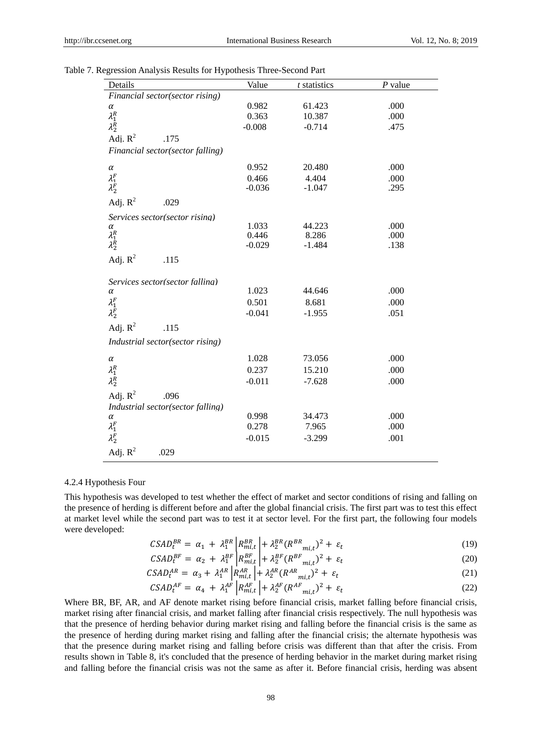| Table 7. Regression Analysis Results for Hypothesis Three-Second Part |  |  |
|-----------------------------------------------------------------------|--|--|
|                                                                       |  |  |

| Details                           | Value    | $t$ statistics | $P$ value |
|-----------------------------------|----------|----------------|-----------|
| Financial sector(sector rising)   |          |                |           |
| $\alpha$                          | 0.982    | 61.423         | .000      |
|                                   | 0.363    | 10.387         | .000      |
| $\lambda_1^R$<br>$\lambda_2^R$    | $-0.008$ | $-0.714$       | .475      |
| Adj. $R^2$<br>.175                |          |                |           |
| Financial sector(sector falling)  |          |                |           |
| $\alpha$                          | 0.952    | 20.480         | .000      |
|                                   | 0.466    | 4.404          | .000      |
| $\lambda_1^F \\ \lambda_2^F$      | $-0.036$ | $-1.047$       | .295      |
| Adj. $R^2$<br>.029                |          |                |           |
| Services sector(sector rising)    |          |                |           |
| α                                 | 1.033    | 44.223         | .000      |
| $\lambda_1^R$<br>$\lambda_2^R$    | 0.446    | 8.286          | .000      |
|                                   | $-0.029$ | $-1.484$       | .138      |
| Adj. $R^2$<br>.115                |          |                |           |
| Services sector(sector falling)   |          |                |           |
| α                                 | 1.023    | 44.646         | .000      |
|                                   | 0.501    | 8.681          | .000      |
| $\lambda_1^F$<br>$\lambda_2^F$    | $-0.041$ | $-1.955$       | .051      |
| Adj. $R^2$<br>.115                |          |                |           |
| Industrial sector(sector rising)  |          |                |           |
| $\alpha$                          | 1.028    | 73.056         | .000      |
| $\lambda_1^R$                     | 0.237    | 15.210         | .000      |
| $\lambda_2^{\overline{R}}$        | $-0.011$ | $-7.628$       | .000      |
| Adj. $R^2$<br>.096                |          |                |           |
| Industrial sector(sector falling) |          |                |           |
| $\alpha$                          | 0.998    | 34.473         | .000      |
| $\lambda_1^F$                     | 0.278    | 7.965          | .000      |
| $\lambda_2^F$                     | $-0.015$ | $-3.299$       | .001      |
| Adj. $R^2$<br>.029                |          |                |           |

#### 4.2.4 Hypothesis Four

This hypothesis was developed to test whether the effect of market and sector conditions of rising and falling on the presence of herding is different before and after the global financial crisis. The first part was to test this effect at market level while the second part was to test it at sector level. For the first part, the following four models were developed:

$$
CSAD_t^{BR} = \alpha_1 + \lambda_1^{BR} \left| R_{mi,t}^{BR} \right| + \lambda_2^{BR} (R^{BR}_{mi,t})^2 + \varepsilon_t \tag{19}
$$

$$
CSAD_t^{BF} = \alpha_2 + \lambda_1^{BF} \left| R_{mi,t}^{BF} \right| + \lambda_2^{BF} (R^{BF}_{mi,t})^2 + \varepsilon_t \tag{20}
$$

$$
CSAD_t^{AR} = \alpha_3 + \lambda_1^{AR} \left| R_{mi,t}^{AR} \right| + \lambda_2^{AR} (R^{AR}_{mi,t})^2 + \varepsilon_t
$$
\n
$$
\tag{21}
$$

$$
CSAD_t^{AF} = \alpha_4 + \lambda_1^{AF} \left| R_{mi,t}^{AF} \right| + \lambda_2^{AF} (R^{AF}_{mi,t})^2 + \varepsilon_t \tag{22}
$$

Where BR, BF, AR, and AF denote market rising before financial crisis, market falling before financial crisis, market rising after financial crisis, and market falling after financial crisis respectively. The null hypothesis was that the presence of herding behavior during market rising and falling before the financial crisis is the same as the presence of herding during market rising and falling after the financial crisis; the alternate hypothesis was that the presence during market rising and falling before crisis was different than that after the crisis. From results shown in Table 8, it's concluded that the presence of herding behavior in the market during market rising and falling before the financial crisis was not the same as after it. Before financial crisis, herding was absent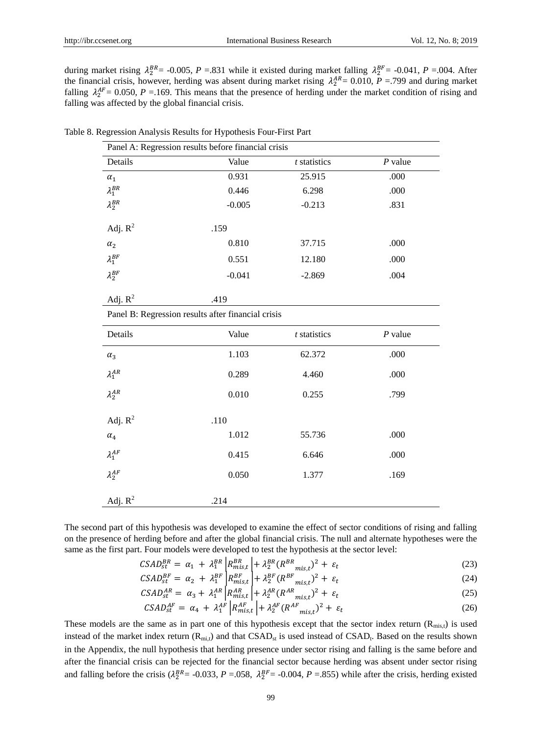during market rising  $\lambda_2^{BR}$  = -0.005, *P* = .831 while it existed during market falling  $\lambda_2^{BF}$  = -0.041, *P* = .004. After the financial crisis, however, herding was absent during market rising  $\lambda_2^{AR} = 0.010$ ,  $P = .799$  and during market falling  $\lambda_2^{AF}$  = 0.050, *P* = 169. This means that the presence of herding under the market condition of rising and falling was affected by the global financial crisis.

|                  | Panel A: Regression results before financial crisis |                |           |
|------------------|-----------------------------------------------------|----------------|-----------|
| Details          | Value                                               | $t$ statistics | $P$ value |
| $\alpha_1$       | 0.931                                               | 25.915         | .000      |
| $\lambda_1^{BR}$ | 0.446                                               | 6.298          | .000      |
| $\lambda_2^{BR}$ | $-0.005$                                            | $-0.213$       | .831      |
| Adj. $R^2$       | .159                                                |                |           |
| $\alpha_2$       | 0.810                                               | 37.715         | .000      |
| $\lambda_1^{BF}$ | 0.551                                               | 12.180         | .000      |
| $\lambda_2^{BF}$ | $-0.041$                                            | $-2.869$       | .004      |
| Adj. $R^2$       | .419                                                |                |           |
|                  | Panel B: Regression results after financial crisis  |                |           |
| Details          | Value                                               | $t$ statistics | $P$ value |
| $\alpha_3$       | 1.103                                               | 62.372         | .000      |
| $\lambda_1^{AR}$ | 0.289                                               | 4.460          | .000      |
| $\lambda_2^{AR}$ | 0.010                                               | 0.255          | .799      |
| Adj. $R^2$       | .110                                                |                |           |
| $\alpha_4$       | 1.012                                               | 55.736         | .000      |
| $\lambda_1^{AF}$ | 0.415                                               | 6.646          | .000      |
| $\lambda_2^{AF}$ | 0.050                                               | 1.377          | .169      |
| Adj. $R^2$       | .214                                                |                |           |

Table 8. Regression Analysis Results for Hypothesis Four-First Part

The second part of this hypothesis was developed to examine the effect of sector conditions of rising and falling on the presence of herding before and after the global financial crisis. The null and alternate hypotheses were the same as the first part. Four models were developed to test the hypothesis at the sector level:

$$
CSAD_{st}^{BR} = \alpha_1 + \lambda_1^{BR} \left[ R_{mis,t}^{BR} \right] + \lambda_2^{BR} (R_{mis,t}^{BR})^2 + \varepsilon_t \tag{23}
$$

$$
CSAD_{st}^{BF} = \alpha_2 + \lambda_1^{BF} \left| R_{mis,t}^{BF} \right| + \lambda_2^{BF} (R_{mis,t})^2 + \varepsilon_t \tag{24}
$$

$$
CSAD_{st}^{AR} = \alpha_3 + \lambda_1^{AR} \left| R_{mis,t}^{AR} \right| + \lambda_2^{AR} (R^{AR}_{mis,t})^2 + \varepsilon_t
$$
\n
$$
\tag{25}
$$

$$
CSAD_{st}^{AF} = \alpha_4 + \lambda_1^{AF} \left| R_{mis,t}^{AF} \right| + \lambda_2^{AF} (R^{AF}_{mis,t})^2 + \varepsilon_t \tag{26}
$$

These models are the same as in part one of this hypothesis except that the sector index return ( $R_{\text{mis},t}$ ) is used instead of the market index return  $(R_{mi,t})$  and that  $CSAD_{st}$  is used instead of  $CSAD_{t}$ . Based on the results shown in the Appendix, the null hypothesis that herding presence under sector rising and falling is the same before and after the financial crisis can be rejected for the financial sector because herding was absent under sector rising and falling before the crisis ( $\lambda_2^{BR}$  = -0.033, *P* = 0.058,  $\lambda_2^{BF}$  = -0.004, *P* = 0.855) while after the crisis, herding existed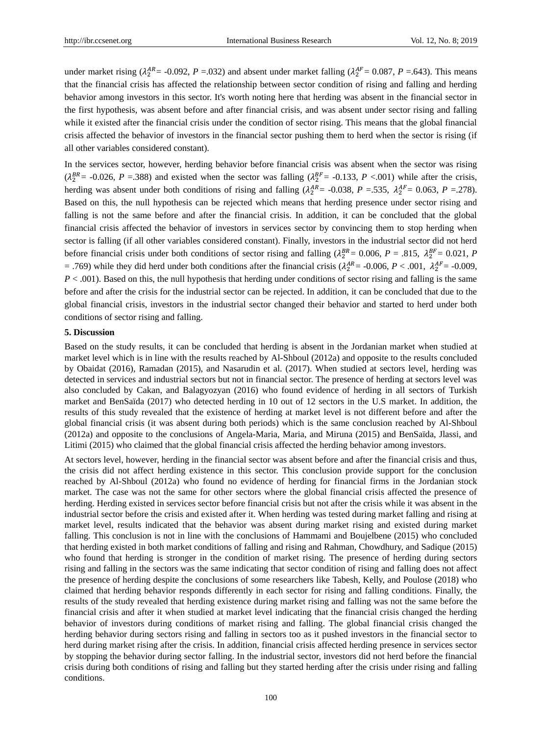under market rising  $(\lambda_2^{AR} = -0.092, P = 0.032)$  and absent under market falling  $(\lambda_2^{AF} = 0.087, P = 0.643)$ . This means that the financial crisis has affected the relationship between sector condition of rising and falling and herding behavior among investors in this sector. It's worth noting here that herding was absent in the financial sector in the first hypothesis, was absent before and after financial crisis, and was absent under sector rising and falling while it existed after the financial crisis under the condition of sector rising. This means that the global financial crisis affected the behavior of investors in the financial sector pushing them to herd when the sector is rising (if all other variables considered constant).

In the services sector, however, herding behavior before financial crisis was absent when the sector was rising  $(\lambda_2^{BR} = -0.026, P = .388)$  and existed when the sector was falling  $(\lambda_2^{BF} = -0.133, P < .001)$  while after the crisis, herding was absent under both conditions of rising and falling  $(\lambda_2^{AR} = -0.038, P = .535, \lambda_2^{AF} = 0.063, P = .278)$ . Based on this, the null hypothesis can be rejected which means that herding presence under sector rising and falling is not the same before and after the financial crisis. In addition, it can be concluded that the global financial crisis affected the behavior of investors in services sector by convincing them to stop herding when sector is falling (if all other variables considered constant). Finally, investors in the industrial sector did not herd before financial crisis under both conditions of sector rising and falling  $(\lambda_2^{BR} = 0.006, P = .815, \lambda_2^{BF} = 0.021, P$  $=$  .769) while they did herd under both conditions after the financial crisis ( $\lambda_2^{AR}$  = -0.006, *P* < .001,  $\lambda_2^{AF}$  = -0.009, *P* < .001). Based on this, the null hypothesis that herding under conditions of sector rising and falling is the same before and after the crisis for the industrial sector can be rejected. In addition, it can be concluded that due to the global financial crisis, investors in the industrial sector changed their behavior and started to herd under both conditions of sector rising and falling.

#### **5. Discussion**

Based on the study results, it can be concluded that herding is absent in the Jordanian market when studied at market level which is in line with the results reached by Al-Shboul (2012a) and opposite to the results concluded by Obaidat (2016), Ramadan (2015), and Nasarudin et al. (2017). When studied at sectors level, herding was detected in services and industrial sectors but not in financial sector. The presence of herding at sectors level was also concluded by Cakan, and Balagyozyan (2016) who found evidence of herding in all sectors of Turkish market and BenSaïda (2017) who detected herding in 10 out of 12 sectors in the U.S market. In addition, the results of this study revealed that the existence of herding at market level is not different before and after the global financial crisis (it was absent during both periods) which is the same conclusion reached by Al-Shboul (2012a) and opposite to the conclusions of Angela-Maria, Maria, and Miruna (2015) and BenSaïda, Jlassi, and Litimi (2015) who claimed that the global financial crisis affected the herding behavior among investors.

At sectors level, however, herding in the financial sector was absent before and after the financial crisis and thus, the crisis did not affect herding existence in this sector. This conclusion provide support for the conclusion reached by Al-Shboul (2012a) who found no evidence of herding for financial firms in the Jordanian stock market. The case was not the same for other sectors where the global financial crisis affected the presence of herding. Herding existed in services sector before financial crisis but not after the crisis while it was absent in the industrial sector before the crisis and existed after it. When herding was tested during market falling and rising at market level, results indicated that the behavior was absent during market rising and existed during market falling. This conclusion is not in line with the conclusions of Hammami and Boujelbene (2015) who concluded that herding existed in both market conditions of falling and rising and Rahman, Chowdhury, and Sadique (2015) who found that herding is stronger in the condition of market rising. The presence of herding during sectors rising and falling in the sectors was the same indicating that sector condition of rising and falling does not affect the presence of herding despite the conclusions of some researchers like Tabesh, Kelly, and Poulose (2018) who claimed that herding behavior responds differently in each sector for rising and falling conditions. Finally, the results of the study revealed that herding existence during market rising and falling was not the same before the financial crisis and after it when studied at market level indicating that the financial crisis changed the herding behavior of investors during conditions of market rising and falling. The global financial crisis changed the herding behavior during sectors rising and falling in sectors too as it pushed investors in the financial sector to herd during market rising after the crisis. In addition, financial crisis affected herding presence in services sector by stopping the behavior during sector falling. In the industrial sector, investors did not herd before the financial crisis during both conditions of rising and falling but they started herding after the crisis under rising and falling conditions.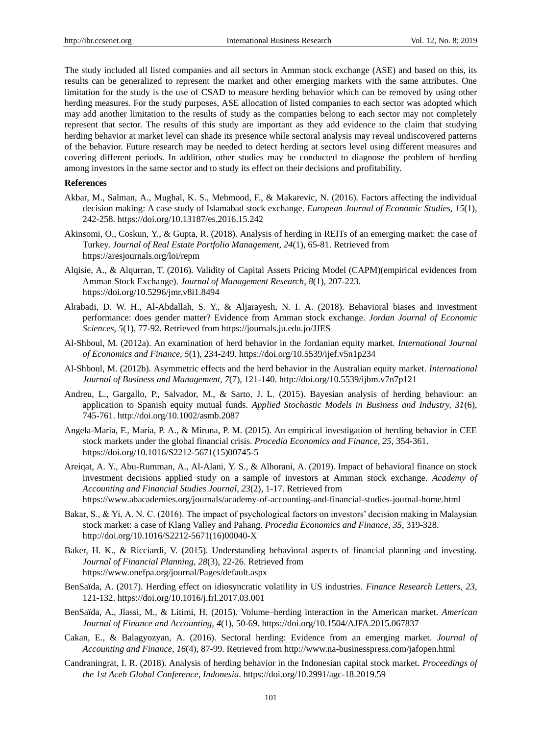The study included all listed companies and all sectors in Amman stock exchange (ASE) and based on this, its results can be generalized to represent the market and other emerging markets with the same attributes. One limitation for the study is the use of CSAD to measure herding behavior which can be removed by using other herding measures. For the study purposes, ASE allocation of listed companies to each sector was adopted which may add another limitation to the results of study as the companies belong to each sector may not completely represent that sector. The results of this study are important as they add evidence to the claim that studying herding behavior at market level can shade its presence while sectoral analysis may reveal undiscovered patterns of the behavior. Future research may be needed to detect herding at sectors level using different measures and covering different periods. In addition, other studies may be conducted to diagnose the problem of herding among investors in the same sector and to study its effect on their decisions and profitability.

#### **References**

- Akbar, M., Salman, A., Mughal, K. S., Mehmood, F., & Makarevic, N. (2016). Factors affecting the individual decision making: A case study of Islamabad stock exchange. *European Journal of Economic Studies, 15*(1), 242-258. https://doi.org/10.13187/es.2016.15.242
- Akinsomi, O., Coskun, Y., & Gupta, R. (2018). Analysis of herding in REITs of an emerging market: the case of Turkey. *Journal of Real Estate Portfolio Management, 24*(1), 65-81. Retrieved from https://aresjournals.org/loi/repm
- Alqisie, A., & Alqurran, T. (2016). Validity of Capital Assets Pricing Model (CAPM)(empirical evidences from Amman Stock Exchange). *Journal of Management Research, 8*(1), 207-223. https://doi.org/10.5296/jmr.v8i1.8494
- Alrabadi, D. W. H., Al-Abdallah, S. Y., & Aljarayesh, N. I. A. (2018). Behavioral biases and investment performance: does gender matter? Evidence from Amman stock exchange. *Jordan Journal of Economic Sciences, 5*(1), 77-92. Retrieved from https://journals.ju.edu.jo/JJES
- Al-Shboul, M. (2012a). An examination of herd behavior in the Jordanian equity market. *International Journal of Economics and Finance, 5*(1), 234-249. https://doi.org/10.5539/ijef.v5n1p234
- Al-Shboul, M. (2012b). Asymmetric effects and the herd behavior in the Australian equity market. *International Journal of Business and Management, 7*(7), 121-140. http://doi.org/10.5539/ijbm.v7n7p121
- Andreu, L., Gargallo, P., Salvador, M., & Sarto, J. L. (2015). Bayesian analysis of herding behaviour: an application to Spanish equity mutual funds. *Applied Stochastic Models in Business and Industry, 31*(6), 745-761. http://doi.org/10.1002/asmb.2087
- Angela-Maria, F., Maria, P. A., & Miruna, P. M. (2015). An empirical investigation of herding behavior in CEE stock markets under the global financial crisis. *Procedia Economics and Finance, 25*, 354-361. https://doi.org/10.1016/S2212-5671(15)00745-5
- Areiqat, A. Y., Abu-Rumman, A., Al-Alani, Y. S., & Alhorani, A. (2019). Impact of behavioral finance on stock investment decisions applied study on a sample of investors at Amman stock exchange. *Academy of Accounting and Financial Studies Journal, 23*(2), 1-17. Retrieved from https://www.abacademies.org/journals/academy-of-accounting-and-financial-studies-journal-home.html
- Bakar, S., & Yi, A. N. C. (2016). The impact of psychological factors on investors' decision making in Malaysian stock market: a case of Klang Valley and Pahang. *Procedia Economics and Finance, 35*, 319-328. http://doi.org/10.1016/S2212-5671(16)00040-X
- Baker, H. K., & Ricciardi, V. (2015). Understanding behavioral aspects of financial planning and investing. *Journal of Financial Planning, 28*(3), 22-26. Retrieved from https://www.onefpa.org/journal/Pages/default.aspx
- BenSaïda, A. (2017). Herding effect on idiosyncratic volatility in US industries. *Finance Research Letters, 23*, 121-132. https://doi.org/10.1016/j.frl.2017.03.001
- BenSaïda, A., Jlassi, M., & Litimi, H. (2015). Volume–herding interaction in the American market. *American Journal of Finance and Accounting, 4*(1), 50-69. https://doi.org/10.1504/AJFA.2015.067837
- Cakan, E., & Balagyozyan, A. (2016). Sectoral herding: Evidence from an emerging market. *Journal of Accounting and Finance, 16*(4), 87-99. Retrieved from http://www.na-businesspress.com/jafopen.html
- Candraningrat, I. R. (2018). Analysis of herding behavior in the Indonesian capital stock market. *Proceedings of the 1st Aceh Global Conference, Indonesia*. https://doi.org/10.2991/agc-18.2019.59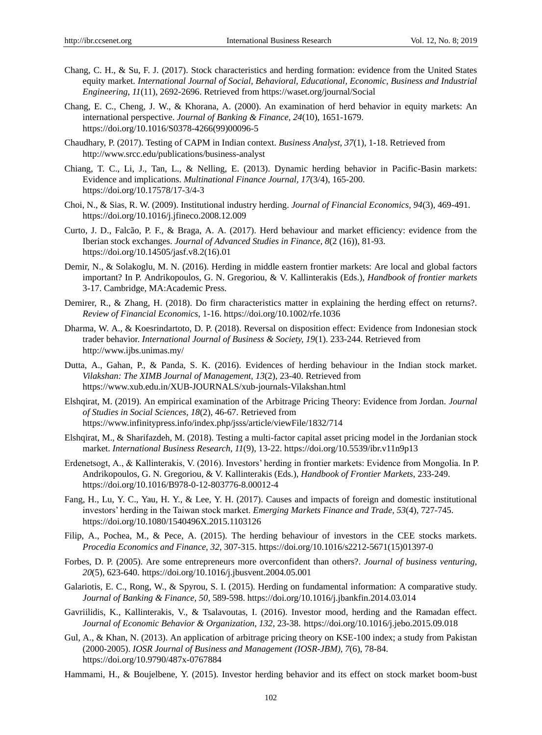- Chang, C. H., & Su, F. J. (2017). Stock characteristics and herding formation: evidence from the United States equity market. *International Journal of Social, Behavioral, Educational, Economic, Business and Industrial Engineering, 11*(11), 2692-2696. Retrieved from https://waset.org/journal/Social
- Chang, E. C., Cheng, J. W., & Khorana, A. (2000). An examination of herd behavior in equity markets: An international perspective. *Journal of Banking & Finance, 24*(10), 1651-1679. https://doi.org/10.1016/S0378-4266(99)00096-5
- Chaudhary, P. (2017). Testing of CAPM in Indian context. *Business Analyst, 37*(1), 1-18. Retrieved from http://www.srcc.edu/publications/business-analyst
- Chiang, T. C., Li, J., Tan, L., & Nelling, E. (2013). Dynamic herding behavior in Pacific-Basin markets: Evidence and implications. *Multinational Finance Journal, 17*(3/4), 165-200. https://doi.org/10.17578/17-3/4-3
- Choi, N., & Sias, R. W. (2009). Institutional industry herding. *Journal of Financial Economics, 94*(3), 469-491. https://doi.org/10.1016/j.jfineco.2008.12.009
- Curto, J. D., Falcão, P. F., & Braga, A. A. (2017). Herd behaviour and market efficiency: evidence from the Iberian stock exchanges. *Journal of Advanced Studies in Finance, 8*(2 (16)), 81-93. https://doi.org/10.14505/jasf.v8.2(16).01
- Demir, N., & Solakoglu, M. N. (2016). Herding in middle eastern frontier markets: Are local and global factors important? In P. Andrikopoulos, G. N. Gregoriou, & V. Kallinterakis (Eds.)*, Handbook of frontier markets* 3-17. Cambridge, MA:Academic Press.
- Demirer, R., & Zhang, H. (2018). Do firm characteristics matter in explaining the herding effect on returns?. *Review of Financial Economics*, 1-16. https://doi.org/10.1002/rfe.1036
- Dharma, W. A., & Koesrindartoto, D. P. (2018). Reversal on disposition effect: Evidence from Indonesian stock trader behavior. *International Journal of Business & Society, 19*(1). 233-244. Retrieved from http://www.ijbs.unimas.my/
- Dutta, A., Gahan, P., & Panda, S. K. (2016). Evidences of herding behaviour in the Indian stock market. *Vilakshan: The XIMB Journal of Management, 13*(2), 23-40. Retrieved from https://www.xub.edu.in/XUB-JOURNALS/xub-journals-Vilakshan.html
- Elshqirat, M. (2019). An empirical examination of the Arbitrage Pricing Theory: Evidence from Jordan. *Journal of Studies in Social Sciences, 18*(2), 46-67. Retrieved from https://www.infinitypress.info/index.php/jsss/article/viewFile/1832/714
- Elshqirat, M., & Sharifazdeh, M. (2018). Testing a multi-factor capital asset pricing model in the Jordanian stock market. *International Business Research, 11*(9), 13-22. https://doi.org/10.5539/ibr.v11n9p13
- Erdenetsogt, A., & Kallinterakis, V. (2016). Investors' herding in frontier markets: Evidence from Mongolia. In P. Andrikopoulos, G. N. Gregoriou, & V. Kallinterakis (Eds.), *Handbook of Frontier Markets*, 233-249. https://doi.org/10.1016/B978-0-12-803776-8.00012-4
- Fang, H., Lu, Y. C., Yau, H. Y., & Lee, Y. H. (2017). Causes and impacts of foreign and domestic institutional investors' herding in the Taiwan stock market. *Emerging Markets Finance and Trade, 53*(4), 727-745. https://doi.org/10.1080/1540496X.2015.1103126
- Filip, A., Pochea, M., & Pece, A. (2015). The herding behaviour of investors in the CEE stocks markets. *Procedia Economics and Finance, 32*, 307-315. https://doi.org/10.1016/s2212-5671(15)01397-0
- Forbes, D. P. (2005). Are some entrepreneurs more overconfident than others?. *Journal of business venturing, 20*(5), 623-640. https://doi.org/10.1016/j.jbusvent.2004.05.001
- Galariotis, E. C., Rong, W., & Spyrou, S. I. (2015). Herding on fundamental information: A comparative study. *Journal of Banking & Finance, 50*, 589-598. https://doi.org/10.1016/j.jbankfin.2014.03.014
- Gavriilidis, K., Kallinterakis, V., & Tsalavoutas, I. (2016). Investor mood, herding and the Ramadan effect. *Journal of Economic Behavior & Organization, 132*, 23-38. https://doi.org/10.1016/j.jebo.2015.09.018
- Gul, A., & Khan, N. (2013). An application of arbitrage pricing theory on KSE-100 index; a study from Pakistan (2000-2005). *IOSR Journal of Business and Management (IOSR-JBM), 7*(6), 78-84. https://doi.org/10.9790/487x-0767884
- Hammami, H., & Boujelbene, Y. (2015). Investor herding behavior and its effect on stock market boom-bust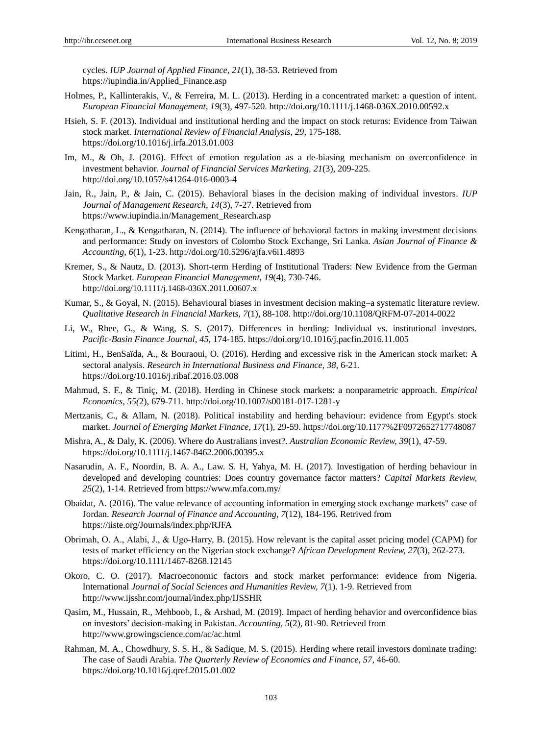cycles. *IUP Journal of Applied Finance, 21*(1), 38-53. Retrieved from https://iupindia.in/Applied\_Finance.asp

- Holmes, P., Kallinterakis, V., & Ferreira, M. L. (2013). Herding in a concentrated market: a question of intent. *European Financial Management, 19*(3), 497-520. http://doi.org/10.1111/j.1468-036X.2010.00592.x
- Hsieh, S. F. (2013). Individual and institutional herding and the impact on stock returns: Evidence from Taiwan stock market. *International Review of Financial Analysis, 29*, 175-188. https://doi.org/10.1016/j.irfa.2013.01.003
- Im, M., & Oh, J. (2016). Effect of emotion regulation as a de-biasing mechanism on overconfidence in investment behavior. *Journal of Financial Services Marketing, 21*(3), 209-225. http://doi.org/10.1057/s41264-016-0003-4
- Jain, R., Jain, P., & Jain, C. (2015). Behavioral biases in the decision making of individual investors. *IUP Journal of Management Research, 14*(3), 7-27. Retrieved from https://www.iupindia.in/Management\_Research.asp
- Kengatharan, L., & Kengatharan, N. (2014). The influence of behavioral factors in making investment decisions and performance: Study on investors of Colombo Stock Exchange, Sri Lanka. *Asian Journal of Finance & Accounting, 6*(1), 1-23. http://doi.org/10.5296/ajfa.v6i1.4893
- Kremer, S., & Nautz, D. (2013). Short-term Herding of Institutional Traders: New Evidence from the German Stock Market. *European Financial Management, 19*(4), 730-746. http://doi.org/10.1111/j.1468-036X.2011.00607.x
- Kumar, S., & Goyal, N. (2015). Behavioural biases in investment decision making–a systematic literature review. *Qualitative Research in Financial Markets, 7*(1), 88-108. http://doi.org/10.1108/QRFM-07-2014-0022
- Li, W., Rhee, G., & Wang, S. S. (2017). Differences in herding: Individual vs. institutional investors. *Pacific-Basin Finance Journal, 45*, 174-185. https://doi.org/10.1016/j.pacfin.2016.11.005
- Litimi, H., BenSaïda, A., & Bouraoui, O. (2016). Herding and excessive risk in the American stock market: A sectoral analysis. *Research in International Business and Finance, 38*, 6-21. https://doi.org/10.1016/j.ribaf.2016.03.008
- Mahmud, S. F., & Tiniç, M. (2018). Herding in Chinese stock markets: a nonparametric approach. *Empirical Economics, 55(*2), 679-711. http://doi.org/10.1007/s00181-017-1281-y
- Mertzanis, C., & Allam, N. (2018). Political instability and herding behaviour: evidence from Egypt's stock market. *Journal of Emerging Market Finance, 17*(1), 29-59. https://doi.org/10.1177%2F0972652717748087
- Mishra, A., & Daly, K. (2006). Where do Australians invest?. *Australian Economic Review, 39*(1), 47-59. https://doi.org/10.1111/j.1467-8462.2006.00395.x
- Nasarudin, A. F., Noordin, B. A. A., Law. S. H, Yahya, M. H. (2017). Investigation of herding behaviour in developed and developing countries: Does country governance factor matters? *Capital Markets Review*, *25*(2), 1-14. Retrieved from https://www.mfa.com.my/
- Obaidat, A. (2016). The value relevance of accounting information in emerging stock exchange markets" case of Jordan. *Research Journal of Finance and Accounting, 7*(12), 184-196. Retrived from https://iiste.org/Journals/index.php/RJFA
- Obrimah, O. A., Alabi, J., & Ugo‐Harry, B. (2015). How relevant is the capital asset pricing model (CAPM) for tests of market efficiency on the Nigerian stock exchange? *African Development Review, 27*(3), 262-273. https://doi.org/10.1111/1467-8268.12145
- Okoro, C. O. (2017). Macroeconomic factors and stock market performance: evidence from Nigeria. International *Journal of Social Sciences and Humanities Review, 7*(1). 1-9. Retrieved from http://www.ijsshr.com/journal/index.php/IJSSHR
- Qasim, M., Hussain, R., Mehboob, I., & Arshad, M. (2019). Impact of herding behavior and overconfidence bias on investors' decision-making in Pakistan. *Accounting, 5*(2), 81-90. Retrieved from http://www.growingscience.com/ac/ac.html
- Rahman, M. A., Chowdhury, S. S. H., & Sadique, M. S. (2015). Herding where retail investors dominate trading: The case of Saudi Arabia. *The Quarterly Review of Economics and Finance, 57*, 46-60. https://doi.org/10.1016/j.qref.2015.01.002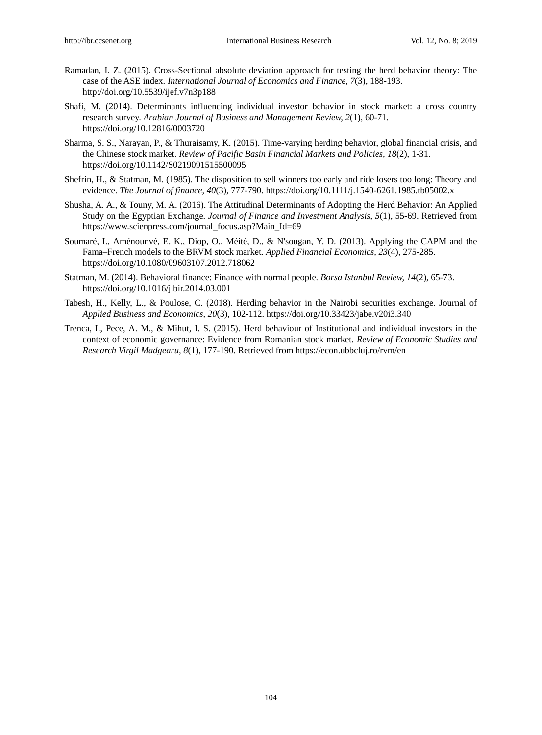- Ramadan, I. Z. (2015). Cross-Sectional absolute deviation approach for testing the herd behavior theory: The case of the ASE index. *International Journal of Economics and Finance, 7*(3), 188-193. http://doi.org/10.5539/ijef.v7n3p188
- Shafi, M. (2014). Determinants influencing individual investor behavior in stock market: a cross country research survey. *Arabian Journal of Business and Management Review, 2*(1), 60-71. https://doi.org/10.12816/0003720
- Sharma, S. S., Narayan, P., & Thuraisamy, K. (2015). Time-varying herding behavior, global financial crisis, and the Chinese stock market. *Review of Pacific Basin Financial Markets and Policies, 18*(2), 1-31. https://doi.org/10.1142/S0219091515500095
- Shefrin, H., & Statman, M. (1985). The disposition to sell winners too early and ride losers too long: Theory and evidence. *The Journal of finance, 40*(3), 777-790. https://doi.org/10.1111/j.1540-6261.1985.tb05002.x
- Shusha, A. A., & Touny, M. A. (2016). The Attitudinal Determinants of Adopting the Herd Behavior: An Applied Study on the Egyptian Exchange. *Journal of Finance and Investment Analysis, 5*(1), 55-69. Retrieved from https://www.scienpress.com/journal\_focus.asp?Main\_Id=69
- Soumaré, I., Aménounvé, E. K., Diop, O., Méité, D., & N'sougan, Y. D. (2013). Applying the CAPM and the Fama–French models to the BRVM stock market. *Applied Financial Economics, 23*(4), 275-285. https://doi.org/10.1080/09603107.2012.718062
- Statman, M. (2014). Behavioral finance: Finance with normal people. *Borsa Istanbul Review, 14*(2), 65-73. https://doi.org/10.1016/j.bir.2014.03.001
- Tabesh, H., Kelly, L., & Poulose, C. (2018). Herding behavior in the Nairobi securities exchange. Journal of *Applied Business and Economics, 20*(3), 102-112. https://doi.org/10.33423/jabe.v20i3.340
- Trenca, I., Pece, A. M., & Mihut, I. S. (2015). Herd behaviour of Institutional and individual investors in the context of economic governance: Evidence from Romanian stock market. *Review of Economic Studies and Research Virgil Madgearu, 8*(1), 177-190. Retrieved from https://econ.ubbcluj.ro/rvm/en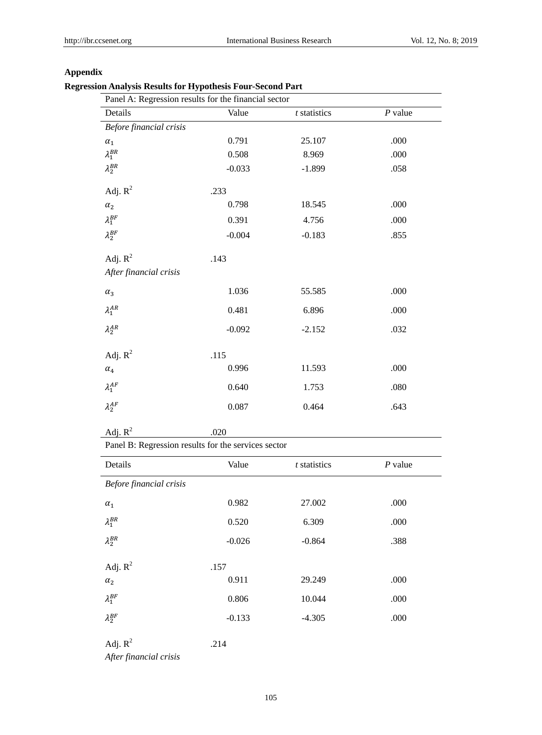# **Appendix**

## **Regression Analysis Results for Hypothesis Four-Second Part**

|                         | ~ --- -- <sub>√</sub> r ---<br>Panel A: Regression results for the financial sector |                |           |
|-------------------------|-------------------------------------------------------------------------------------|----------------|-----------|
| Details                 | Value                                                                               | $t$ statistics | $P$ value |
| Before financial crisis |                                                                                     |                |           |
| $\alpha_1$              | 0.791                                                                               | 25.107         | .000      |
| $\lambda_1^{BR}$        | 0.508                                                                               | 8.969          | .000      |
| $\lambda_2^{BR}$        | $-0.033$                                                                            | $-1.899$       | .058      |
| Adj. $R^2$              | .233                                                                                |                |           |
| $\alpha_2$              | 0.798                                                                               | 18.545         | .000      |
| $\lambda_1^{BF}$        | 0.391                                                                               | 4.756          | .000      |
| $\lambda_2^{BF}$        | $-0.004$                                                                            | $-0.183$       | .855      |
| Adj. $R^2$              | .143                                                                                |                |           |
| After financial crisis  |                                                                                     |                |           |
| $\alpha_3$              | 1.036                                                                               | 55.585         | .000      |
| $\lambda_1^{AR}$        | 0.481                                                                               | 6.896          | .000      |
| $\lambda_2^{AR}$        | $-0.092$                                                                            | $-2.152$       | .032      |
| Adj. $\mathbf{R}^2$     | .115                                                                                |                |           |
| $\alpha_4$              | 0.996                                                                               | 11.593         | .000      |
| $\lambda_1^{AF}$        | 0.640                                                                               | 1.753          | .080      |
| $\lambda_2^{AF}$        | 0.087                                                                               | 0.464          | .643      |
| Adj. $R^2$              | .020                                                                                |                |           |

Panel B: Regression results for the services sector

| Details                 | Value    | t statistics | $P$ value |
|-------------------------|----------|--------------|-----------|
| Before financial crisis |          |              |           |
| $\alpha_1$              | 0.982    | 27.002       | .000      |
| $\lambda_1^{BR}$        | 0.520    | 6.309        | .000      |
| $\lambda_2^{BR}$        | $-0.026$ | $-0.864$     | .388      |
| Adj. $R^2$              | .157     |              |           |
| $\alpha_2$              | 0.911    | 29.249       | .000      |
| $\lambda_1^{BF}$        | 0.806    | 10.044       | .000      |
| $\lambda_2^{BF}$        | $-0.133$ | $-4.305$     | .000      |
|                         |          |              |           |

Adj.  $R^2$ .214

*After financial crisis*